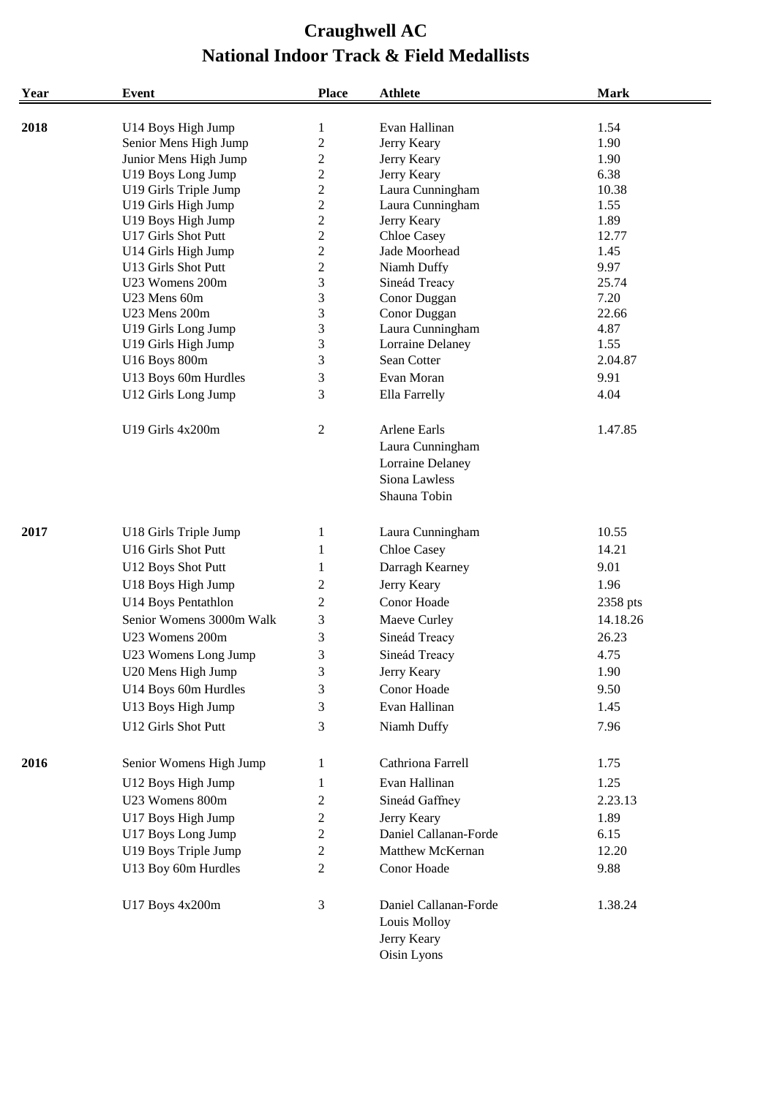| Year | <b>Event</b>             | <b>Place</b>     | <b>Athlete</b>                                                      | <b>Mark</b> |
|------|--------------------------|------------------|---------------------------------------------------------------------|-------------|
| 2018 | U14 Boys High Jump       | $\mathbf{1}$     | Evan Hallinan                                                       | 1.54        |
|      | Senior Mens High Jump    | $\mathbf{2}$     | Jerry Keary                                                         | 1.90        |
|      | Junior Mens High Jump    | $\overline{c}$   | Jerry Keary                                                         | 1.90        |
|      | U19 Boys Long Jump       | $\boldsymbol{2}$ | Jerry Keary                                                         | 6.38        |
|      | U19 Girls Triple Jump    | $\boldsymbol{2}$ | Laura Cunningham                                                    | 10.38       |
|      | U19 Girls High Jump      | $\boldsymbol{2}$ | Laura Cunningham                                                    | 1.55        |
|      | U19 Boys High Jump       | $\boldsymbol{2}$ | Jerry Keary                                                         | 1.89        |
|      | U17 Girls Shot Putt      | $\overline{2}$   | Chloe Casey                                                         | 12.77       |
|      | U14 Girls High Jump      | $\boldsymbol{2}$ | Jade Moorhead                                                       | 1.45        |
|      | U13 Girls Shot Putt      | $\boldsymbol{2}$ | Niamh Duffy                                                         | 9.97        |
|      | U23 Womens 200m          | 3                | Sineád Treacy                                                       | 25.74       |
|      | U23 Mens 60m             | 3                | Conor Duggan                                                        | 7.20        |
|      | U23 Mens 200m            | 3                | Conor Duggan                                                        | 22.66       |
|      | U19 Girls Long Jump      | 3                | Laura Cunningham                                                    | 4.87        |
|      | U19 Girls High Jump      | 3                | Lorraine Delaney                                                    | 1.55        |
|      | U16 Boys 800m            | 3                | Sean Cotter                                                         | 2.04.87     |
|      | U13 Boys 60m Hurdles     | 3                | Evan Moran                                                          | 9.91        |
|      | U12 Girls Long Jump      | 3                | Ella Farrelly                                                       | 4.04        |
|      | U19 Girls 4x200m         | $\boldsymbol{2}$ | Arlene Earls                                                        | 1.47.85     |
|      |                          |                  | Laura Cunningham                                                    |             |
|      |                          |                  | Lorraine Delaney                                                    |             |
|      |                          |                  | Siona Lawless                                                       |             |
|      |                          |                  | Shauna Tobin                                                        |             |
| 2017 | U18 Girls Triple Jump    | $\mathbf{1}$     | Laura Cunningham                                                    | 10.55       |
|      | U16 Girls Shot Putt      | 1                | Chloe Casey                                                         | 14.21       |
|      |                          |                  |                                                                     |             |
|      | U12 Boys Shot Putt       | $\mathbf{1}$     | Darragh Kearney                                                     | 9.01        |
|      | U18 Boys High Jump       | $\overline{c}$   | Jerry Keary                                                         | 1.96        |
|      | U14 Boys Pentathlon      | 2                | Conor Hoade                                                         | 2358 pts    |
|      | Senior Womens 3000m Walk | 3                | Maeve Curley                                                        | 14.18.26    |
|      | U23 Womens 200m          | 3                | Sineád Treacy                                                       | 26.23       |
|      | U23 Womens Long Jump     | 3                | Sineád Treacy                                                       | 4.75        |
|      | U20 Mens High Jump       | 3                | Jerry Keary                                                         | 1.90        |
|      | U14 Boys 60m Hurdles     | 3                | Conor Hoade                                                         | 9.50        |
|      | U13 Boys High Jump       | 3                | Evan Hallinan                                                       | 1.45        |
|      | U12 Girls Shot Putt      | 3                | Niamh Duffy                                                         | 7.96        |
| 2016 | Senior Womens High Jump  | 1                | Cathriona Farrell                                                   | 1.75        |
|      |                          |                  |                                                                     |             |
|      | U12 Boys High Jump       | 1                | Evan Hallinan                                                       | 1.25        |
|      | U23 Womens 800m          | $\mathbf{2}$     | Sineád Gaffney                                                      | 2.23.13     |
|      | U17 Boys High Jump       | $\overline{c}$   | Jerry Keary                                                         | 1.89        |
|      | U17 Boys Long Jump       | $\mathfrak{2}$   | Daniel Callanan-Forde                                               | 6.15        |
|      | U19 Boys Triple Jump     | $\boldsymbol{2}$ | Matthew McKernan                                                    | 12.20       |
|      | U13 Boy 60m Hurdles      | $\overline{2}$   | Conor Hoade                                                         | 9.88        |
|      | U17 Boys 4x200m          | 3                | Daniel Callanan-Forde<br>Louis Molloy<br>Jerry Keary<br>Oisin Lyons | 1.38.24     |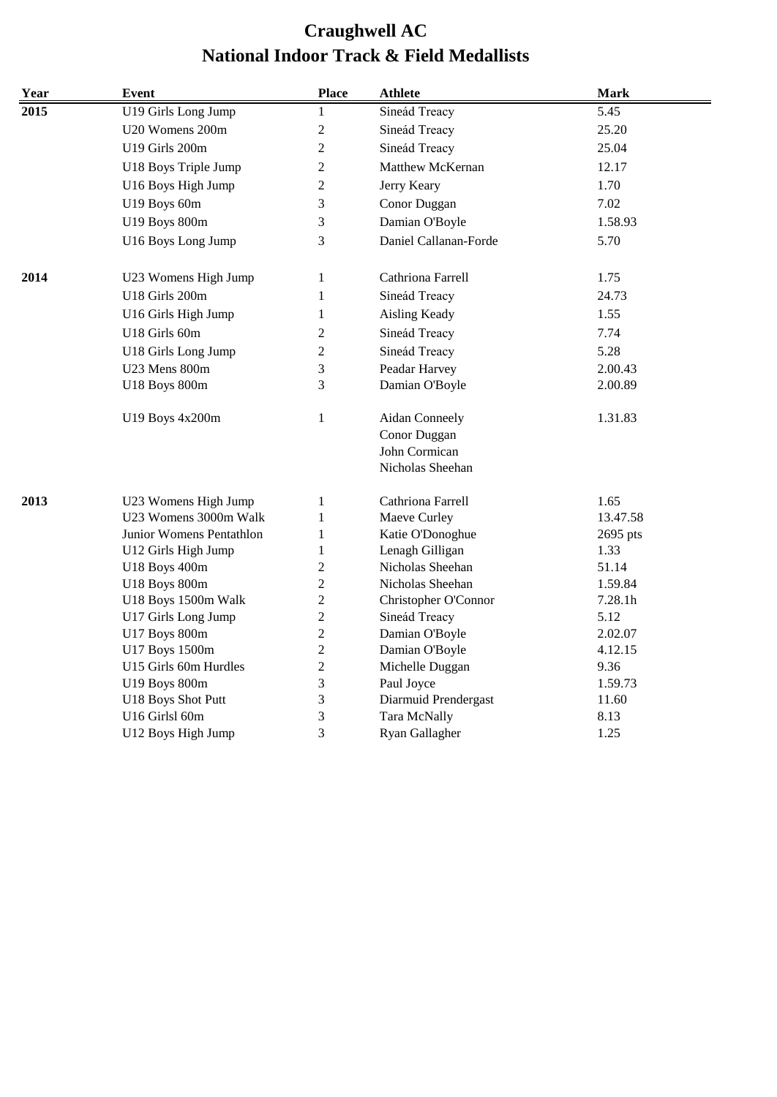| Year | <b>Event</b>             | <b>Place</b>   | <b>Athlete</b>                                                      | <b>Mark</b> |
|------|--------------------------|----------------|---------------------------------------------------------------------|-------------|
| 2015 | U19 Girls Long Jump      | $\mathbf{1}$   | Sineád Treacy                                                       | 5.45        |
|      | U20 Womens 200m          | $\overline{c}$ | Sineád Treacy                                                       | 25.20       |
|      | U19 Girls 200m           | $\overline{c}$ | Sineád Treacy                                                       | 25.04       |
|      | U18 Boys Triple Jump     | $\overline{c}$ | Matthew McKernan                                                    | 12.17       |
|      | U16 Boys High Jump       | 2              | Jerry Keary                                                         | 1.70        |
|      | U19 Boys 60m             | 3              | Conor Duggan                                                        | 7.02        |
|      | U19 Boys 800m            | 3              | Damian O'Boyle                                                      | 1.58.93     |
|      | U16 Boys Long Jump       | 3              | Daniel Callanan-Forde                                               | 5.70        |
| 2014 | U23 Womens High Jump     | 1              | Cathriona Farrell                                                   | 1.75        |
|      | U18 Girls 200m           | $\mathbf{1}$   | Sineád Treacy                                                       | 24.73       |
|      | U16 Girls High Jump      | 1              | Aisling Keady                                                       | 1.55        |
|      | U18 Girls 60m            | $\overline{c}$ | Sineád Treacy                                                       | 7.74        |
|      | U18 Girls Long Jump      | 2              | Sineád Treacy                                                       | 5.28        |
|      | U23 Mens 800m            | 3              | Peadar Harvey                                                       | 2.00.43     |
|      | U18 Boys 800m            | 3              | Damian O'Boyle                                                      | 2.00.89     |
|      | U19 Boys 4x200m          | $\mathbf{1}$   | Aidan Conneely<br>Conor Duggan<br>John Cormican<br>Nicholas Sheehan | 1.31.83     |
| 2013 | U23 Womens High Jump     | 1              | Cathriona Farrell                                                   | 1.65        |
|      | U23 Womens 3000m Walk    | $\mathbf{1}$   | Maeve Curley                                                        | 13.47.58    |
|      | Junior Womens Pentathlon | $\mathbf{1}$   | Katie O'Donoghue                                                    | 2695 pts    |
|      | U12 Girls High Jump      | $\mathbf{1}$   | Lenagh Gilligan                                                     | 1.33        |
|      | U18 Boys 400m            | $\overline{c}$ | Nicholas Sheehan                                                    | 51.14       |
|      | U18 Boys 800m            | $\overline{c}$ | Nicholas Sheehan                                                    | 1.59.84     |
|      | U18 Boys 1500m Walk      | $\overline{c}$ | Christopher O'Connor                                                | 7.28.1h     |
|      | U17 Girls Long Jump      | 2              | Sineád Treacy                                                       | 5.12        |
|      | U17 Boys 800m            | $\overline{c}$ | Damian O'Boyle                                                      | 2.02.07     |
|      | U17 Boys 1500m           | $\overline{c}$ | Damian O'Boyle                                                      | 4.12.15     |
|      | U15 Girls 60m Hurdles    | $\mathbf{2}$   | Michelle Duggan                                                     | 9.36        |
|      | U19 Boys 800m            | 3              | Paul Joyce                                                          | 1.59.73     |
|      | U18 Boys Shot Putt       | 3              | Diarmuid Prendergast                                                | 11.60       |
|      | U16 Girlsl 60m           | 3<br>3         | Tara McNally                                                        | 8.13        |
|      | U12 Boys High Jump       |                | Ryan Gallagher                                                      | 1.25        |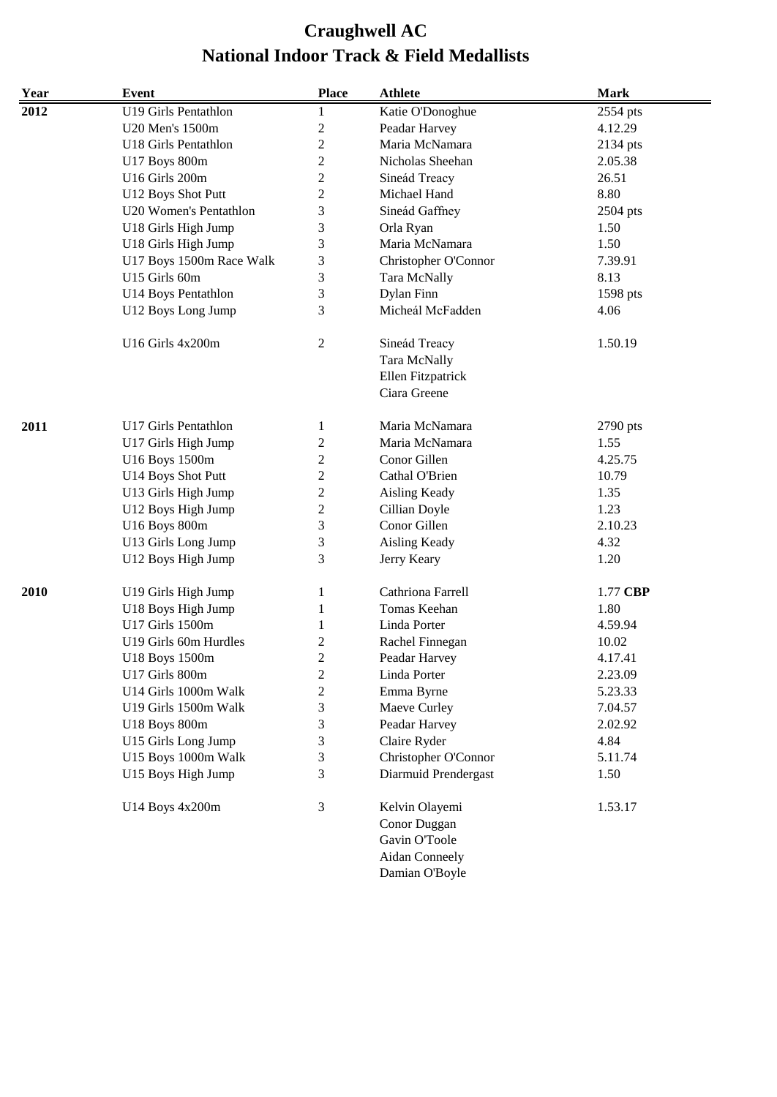| Year | Event                    | <b>Place</b>   | <b>Athlete</b>                               | <b>Mark</b> |
|------|--------------------------|----------------|----------------------------------------------|-------------|
| 2012 | U19 Girls Pentathlon     | 1              | Katie O'Donoghue                             | 2554 pts    |
|      | U20 Men's 1500m          | $\overline{c}$ | Peadar Harvey                                | 4.12.29     |
|      | U18 Girls Pentathlon     | $\overline{c}$ | Maria McNamara                               | 2134 pts    |
|      | U17 Boys 800m            | $\overline{c}$ | Nicholas Sheehan                             | 2.05.38     |
|      | U16 Girls 200m           | $\overline{c}$ | Sineád Treacy                                | 26.51       |
|      | U12 Boys Shot Putt       | $\mathbf{2}$   | Michael Hand                                 | 8.80        |
|      | U20 Women's Pentathlon   | 3              | Sineád Gaffney                               | 2504 pts    |
|      | U18 Girls High Jump      | 3              | Orla Ryan                                    | 1.50        |
|      | U18 Girls High Jump      | 3              | Maria McNamara                               | 1.50        |
|      | U17 Boys 1500m Race Walk | 3              | Christopher O'Connor                         | 7.39.91     |
|      | U15 Girls 60m            | 3              | Tara McNally                                 | 8.13        |
|      | U14 Boys Pentathlon      | 3              | Dylan Finn                                   | 1598 pts    |
|      | U12 Boys Long Jump       | 3              | Micheál McFadden                             | 4.06        |
|      | U16 Girls 4x200m         | $\mathbf{2}$   | Sineád Treacy                                | 1.50.19     |
|      |                          |                | Tara McNally                                 |             |
|      |                          |                | Ellen Fitzpatrick                            |             |
|      |                          |                | Ciara Greene                                 |             |
| 2011 | U17 Girls Pentathlon     | 1              | Maria McNamara                               | 2790 pts    |
|      | U17 Girls High Jump      | $\overline{c}$ | Maria McNamara                               | 1.55        |
|      | U16 Boys 1500m           | $\overline{c}$ | Conor Gillen                                 | 4.25.75     |
|      | U14 Boys Shot Putt       | $\mathbf{2}$   | Cathal O'Brien                               | 10.79       |
|      | U13 Girls High Jump      | $\overline{c}$ | Aisling Keady                                | 1.35        |
|      | U12 Boys High Jump       | $\overline{c}$ | Cillian Doyle                                | 1.23        |
|      | U16 Boys 800m            | 3              | Conor Gillen                                 | 2.10.23     |
|      | U13 Girls Long Jump      | 3              | Aisling Keady                                | 4.32        |
|      | U12 Boys High Jump       | 3              | Jerry Keary                                  | 1.20        |
| 2010 | U19 Girls High Jump      | 1              | Cathriona Farrell                            | 1.77 CBP    |
|      | U18 Boys High Jump       | 1              | Tomas Keehan                                 | 1.80        |
|      | U17 Girls 1500m          | 1              | Linda Porter                                 | 4.59.94     |
|      | U19 Girls 60m Hurdles    | $\overline{c}$ | Rachel Finnegan                              | 10.02       |
|      | U18 Boys 1500m           | $\overline{c}$ | Peadar Harvey                                | 4.17.41     |
|      | U17 Girls 800m           | $\overline{c}$ | Linda Porter                                 | 2.23.09     |
|      | U14 Girls 1000m Walk     | 2              | Emma Byrne                                   | 5.23.33     |
|      | U19 Girls 1500m Walk     | 3              | Maeve Curley                                 | 7.04.57     |
|      | U18 Boys 800m            | 3              | Peadar Harvey                                | 2.02.92     |
|      | U15 Girls Long Jump      | 3              | Claire Ryder                                 | 4.84        |
|      | U15 Boys 1000m Walk      | 3              |                                              | 5.11.74     |
|      |                          | 3              | Christopher O'Connor<br>Diarmuid Prendergast |             |
|      | U15 Boys High Jump       |                |                                              | 1.50        |
|      | U14 Boys 4x200m          | $\mathfrak{Z}$ | Kelvin Olayemi                               | 1.53.17     |
|      |                          |                | Conor Duggan                                 |             |
|      |                          |                | Gavin O'Toole                                |             |
|      |                          |                | <b>Aidan Conneely</b>                        |             |
|      |                          |                | Damian O'Boyle                               |             |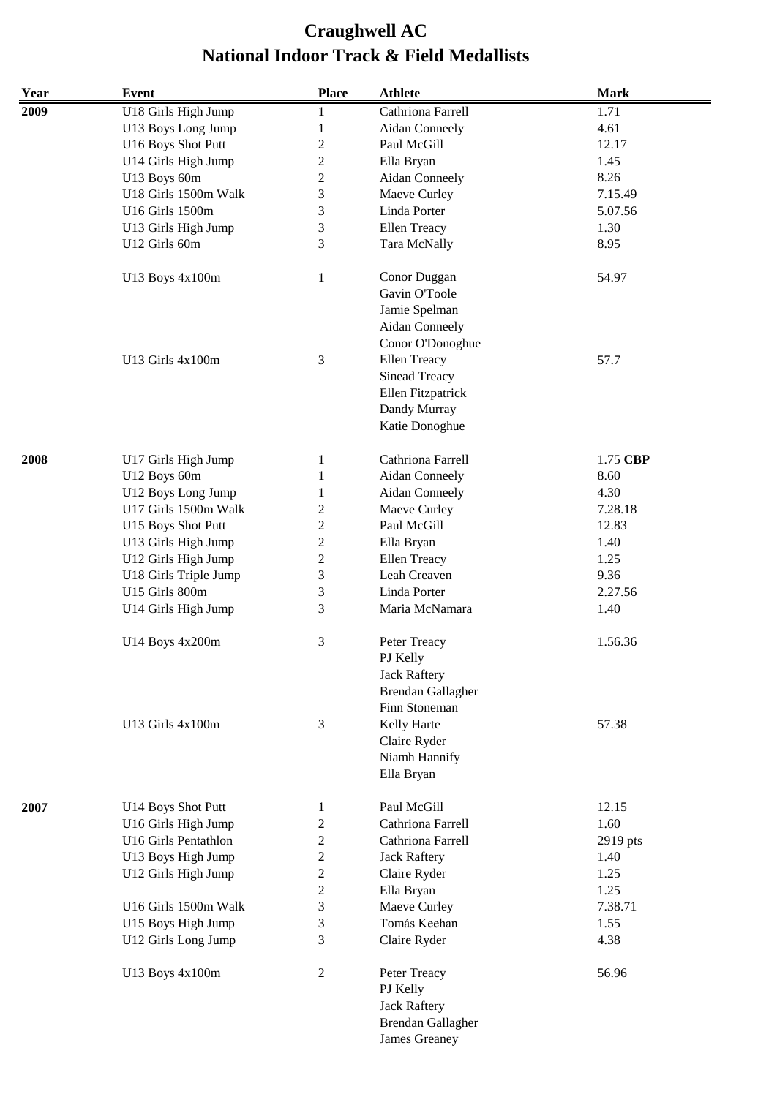| Year | <b>Event</b>          | <b>Place</b>        | <b>Athlete</b>           | <b>Mark</b> |
|------|-----------------------|---------------------|--------------------------|-------------|
| 2009 | U18 Girls High Jump   | 1                   | Cathriona Farrell        | 1.71        |
|      | U13 Boys Long Jump    | $\,1$               | <b>Aidan Conneely</b>    | 4.61        |
|      | U16 Boys Shot Putt    | $\boldsymbol{2}$    | Paul McGill              | 12.17       |
|      | U14 Girls High Jump   | $\overline{c}$      | Ella Bryan               | 1.45        |
|      | U13 Boys 60m          | $\sqrt{2}$          | Aidan Conneely           | 8.26        |
|      | U18 Girls 1500m Walk  | 3                   | Maeve Curley             | 7.15.49     |
|      | U16 Girls 1500m       | 3                   | Linda Porter             | 5.07.56     |
|      | U13 Girls High Jump   | 3                   | <b>Ellen Treacy</b>      | 1.30        |
|      | U12 Girls 60m         | 3                   | Tara McNally             | 8.95        |
|      |                       |                     |                          |             |
|      | U13 Boys 4x100m       | $\mathbf{1}$        | Conor Duggan             | 54.97       |
|      |                       |                     | Gavin O'Toole            |             |
|      |                       |                     | Jamie Spelman            |             |
|      |                       |                     | <b>Aidan Conneely</b>    |             |
|      |                       |                     | Conor O'Donoghue         |             |
|      | U13 Girls $4x100m$    | 3                   | Ellen Treacy             | 57.7        |
|      |                       |                     | <b>Sinead Treacy</b>     |             |
|      |                       |                     | Ellen Fitzpatrick        |             |
|      |                       |                     | Dandy Murray             |             |
|      |                       |                     | Katie Donoghue           |             |
|      |                       |                     |                          |             |
| 2008 | U17 Girls High Jump   | 1                   | Cathriona Farrell        | 1.75 CBP    |
|      | U12 Boys 60m          | 1                   | Aidan Conneely           | 8.60        |
|      | U12 Boys Long Jump    | 1                   | Aidan Conneely           | 4.30        |
|      | U17 Girls 1500m Walk  | $\overline{c}$      | Maeve Curley             | 7.28.18     |
|      | U15 Boys Shot Putt    | $\mathfrak{2}$      | Paul McGill              | 12.83       |
|      | U13 Girls High Jump   | $\sqrt{2}$          | Ella Bryan               | 1.40        |
|      | U12 Girls High Jump   | $\sqrt{2}$          | <b>Ellen Treacy</b>      | 1.25        |
|      |                       | $\mathfrak{Z}$      | Leah Creaven             | 9.36        |
|      | U18 Girls Triple Jump |                     | Linda Porter             |             |
|      | U15 Girls 800m        | $\mathfrak{Z}$<br>3 | Maria McNamara           | 2.27.56     |
|      | U14 Girls High Jump   |                     |                          | 1.40        |
|      | U14 Boys 4x200m       | 3                   | Peter Treacy             | 1.56.36     |
|      |                       |                     | PJ Kelly                 |             |
|      |                       |                     | <b>Jack Raftery</b>      |             |
|      |                       |                     | <b>Brendan Gallagher</b> |             |
|      |                       |                     | Finn Stoneman            |             |
|      | U13 Girls 4x100m      | $\mathfrak{Z}$      | Kelly Harte              | 57.38       |
|      |                       |                     | Claire Ryder             |             |
|      |                       |                     | Niamh Hannify            |             |
|      |                       |                     | Ella Bryan               |             |
|      |                       |                     |                          |             |
| 2007 | U14 Boys Shot Putt    | 1                   | Paul McGill              | 12.15       |
|      | U16 Girls High Jump   | $\boldsymbol{2}$    | Cathriona Farrell        | 1.60        |
|      | U16 Girls Pentathlon  | $\overline{c}$      | Cathriona Farrell        | 2919 pts    |
|      | U13 Boys High Jump    | $\overline{c}$      | <b>Jack Raftery</b>      | 1.40        |
|      | U12 Girls High Jump   | $\overline{c}$      | Claire Ryder             | 1.25        |
|      |                       | $\overline{2}$      | Ella Bryan               | 1.25        |
|      | U16 Girls 1500m Walk  | 3                   | Maeve Curley             | 7.38.71     |
|      | U15 Boys High Jump    | 3                   | Tomás Keehan             | 1.55        |
|      | U12 Girls Long Jump   | 3                   | Claire Ryder             | 4.38        |
|      |                       |                     |                          |             |
|      | U13 Boys 4x100m       | $\sqrt{2}$          | Peter Treacy             | 56.96       |
|      |                       |                     | PJ Kelly                 |             |
|      |                       |                     | <b>Jack Raftery</b>      |             |
|      |                       |                     | <b>Brendan Gallagher</b> |             |
|      |                       |                     | <b>James Greaney</b>     |             |